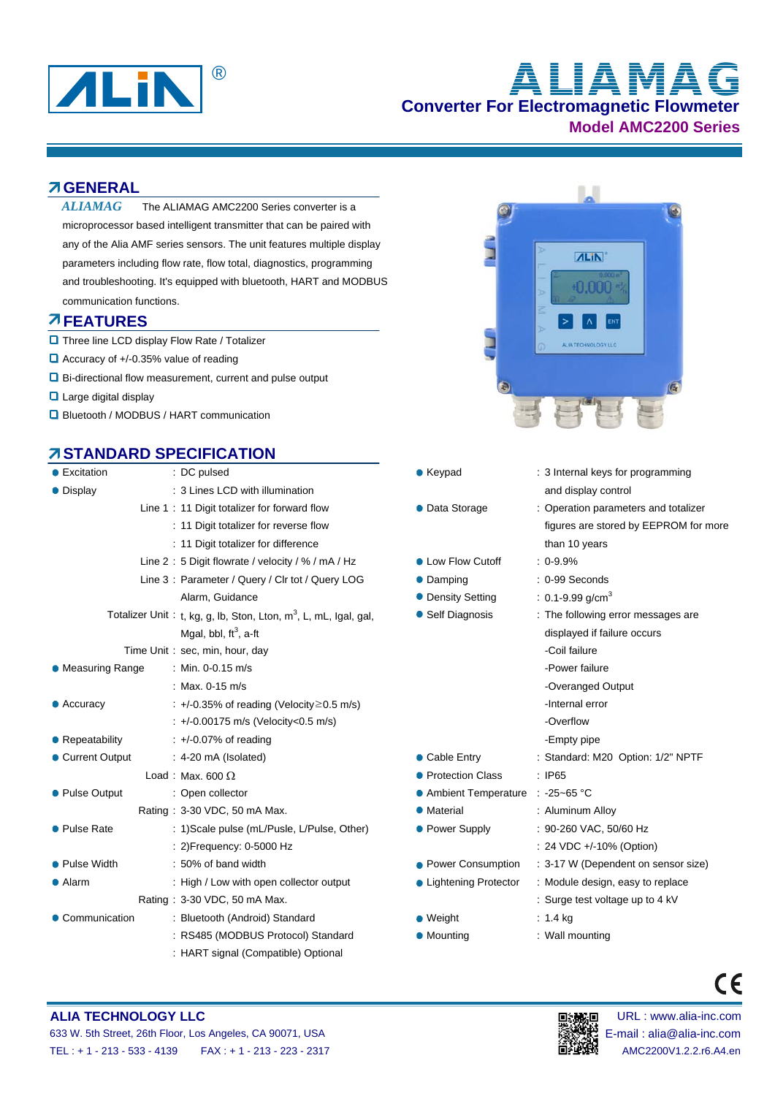

# **Converter For Electromagnetic Flowmeter Model AMC2200 Series** ® **ALIAMAG**

#### **GENERAL**

The ALIAMAG AMC2200 Series converter is a microprocessor based intelligent transmitter that can be paired with any of the Alia AMF series sensors. The unit features multiple display parameters including flow rate, flow total, diagnostics, programming and troubleshooting. It's equipped with bluetooth, HART and MODBUS communication functions. *ALIAMAG*

#### **FEATURES**

- **D** Three line LCD display Flow Rate / Totalizer
- Accuracy of +/-0.35% value of reading
- Bi-directional flow measurement, current and pulse output
- **Large digital display**
- **D** Bluetooth / MODBUS / HART communication

## **STANDARD SPECIFICATION**

| • Excitation       | : DC pulsed                                                                  | $\bullet$ Keypad                  | : 3 Internal k     |  |
|--------------------|------------------------------------------------------------------------------|-----------------------------------|--------------------|--|
| • Display          | : 3 Lines LCD with illumination                                              |                                   | and display        |  |
|                    | Line 1: 11 Digit totalizer for forward flow                                  | • Data Storage                    |                    |  |
|                    | : 11 Digit totalizer for reverse flow                                        |                                   |                    |  |
|                    | : 11 Digit totalizer for difference                                          |                                   |                    |  |
|                    | Line 2: 5 Digit flowrate / velocity / % / mA / Hz                            | • Low Flow Cutoff                 | $: 0.9.9\%$        |  |
|                    | Line 3: Parameter / Query / Clr tot / Query LOG                              | • Damping                         | : 0-99 Secor       |  |
|                    | Alarm, Guidance                                                              | • Density Setting                 | $: 0.1 - 9.99$ g/d |  |
|                    | Totalizer Unit: t, kg, g, lb, Ston, Lton, m <sup>3</sup> , L, mL, Igal, gal, | • Self Diagnosis                  |                    |  |
|                    | Mgal, bbl, $ft^3$ , a-ft                                                     |                                   | displayed if       |  |
|                    | Time Unit: sec, min, hour, day                                               |                                   |                    |  |
| • Measuring Range  | : Min. 0-0.15 m/s                                                            |                                   |                    |  |
|                    | : Max. $0-15$ m/s                                                            |                                   | -Overanged         |  |
| $\bullet$ Accuracy | $\div$ +/-0.35% of reading (Velocity $\geq$ 0.5 m/s)                         |                                   |                    |  |
|                    | : +/-0.00175 m/s (Velocity<0.5 m/s)                                          |                                   | -Overflow          |  |
| • Repeatability    | $\div$ +/-0.07% of reading                                                   |                                   | -Empty pipe        |  |
| • Current Output   | $: 4-20 \text{ mA}$ (Isolated)                                               | • Cable Entry                     | : Standard: M      |  |
|                    | Load: Max. 600 $\Omega$                                                      | • Protection Class                | : IP65             |  |
| • Pulse Output     | : Open collector                                                             | ● Ambient Temperature : -25~65 °C |                    |  |
|                    | Rating: 3-30 VDC, 50 mA Max.                                                 | • Material                        | : Aluminum /       |  |
| • Pulse Rate       | : 1) Scale pulse (mL/Pusle, L/Pulse, Other)                                  | • Power Supply                    | $: 90-260$ VA      |  |
|                    | : 2) Frequency: 0-5000 Hz                                                    |                                   | : 24 VDC +/-       |  |
| • Pulse Width      | : 50% of band width                                                          | • Power Consumption               | $: 3 - 17$ W (De   |  |
| • Alarm            | : High / Low with open collector output                                      | • Lightening Protector            | : Module des       |  |
|                    | Rating: 3-30 VDC, 50 mA Max.                                                 |                                   | : Surge test       |  |
| • Communication    | : Bluetooth (Android) Standard                                               | $\bullet$ Weight                  | $: 1.4$ kg         |  |
|                    | : RS485 (MODBUS Protocol) Standard                                           | • Mounting                        | : Wall mount       |  |
|                    | : HART signal (Compatible) Optional                                          |                                   |                    |  |



- 
- Keypad : 3 Internal keys for programming and display control • Data Storage : 0peration parameters and totalizer figures are stored by EEPROM for more than 10 years **Line 2 : 6 Digit flow Flow Cutoff : 0-9.9%** ● Damping 20:00:00 Damping 20:00:00:00:00 Damping : 0-99 Seconds  $\bullet$  Density Setting : 0.1-9.99 g/cm<sup>3</sup> • Self Diagnosis : The following error messages are displayed if failure occurs -Power failure -Overanged Output -Internal error
	- -Empty pipe
- Cable Entry : Standard: M20 Option: 1/2" NPTF
- **Protection Class** : IP65 **• Ambient Temperature : -25~65 °C**
- Material : 3-30 Material : 3-30 Material : Aluminum Alloy
- Power Supply : 90-260 VAC, 50/60 Hz
	- : 24 VDC +/-10% (Option)
- **Power Consumption : 3-17 W (Dependent on sensor size)**
- Lightening Protector : Module design, easy to replace
	- : Surge test voltage up to 4 kV
		-
- Mounting **Constanting Mounting Standard Mounting** : Wall mounting

#### **ALIA TECHNOLOGY LLC Extending the CONDUCT CONDUCT CONDUCT CONDUCT CONDUCT** DESCRIPTION DESCRIPTION OF **DESCRIPTION** 633 W. 5th Street, 26th Floor, Los Angeles, CA 90071, USA E-mail : alia@alia-inc.com TEL : + 1 - 213 - 533 - 4139 FAX : + 1 - 213 - 223 - 2317 AMC2200V1.2.2.r6.A4.en



 $\epsilon$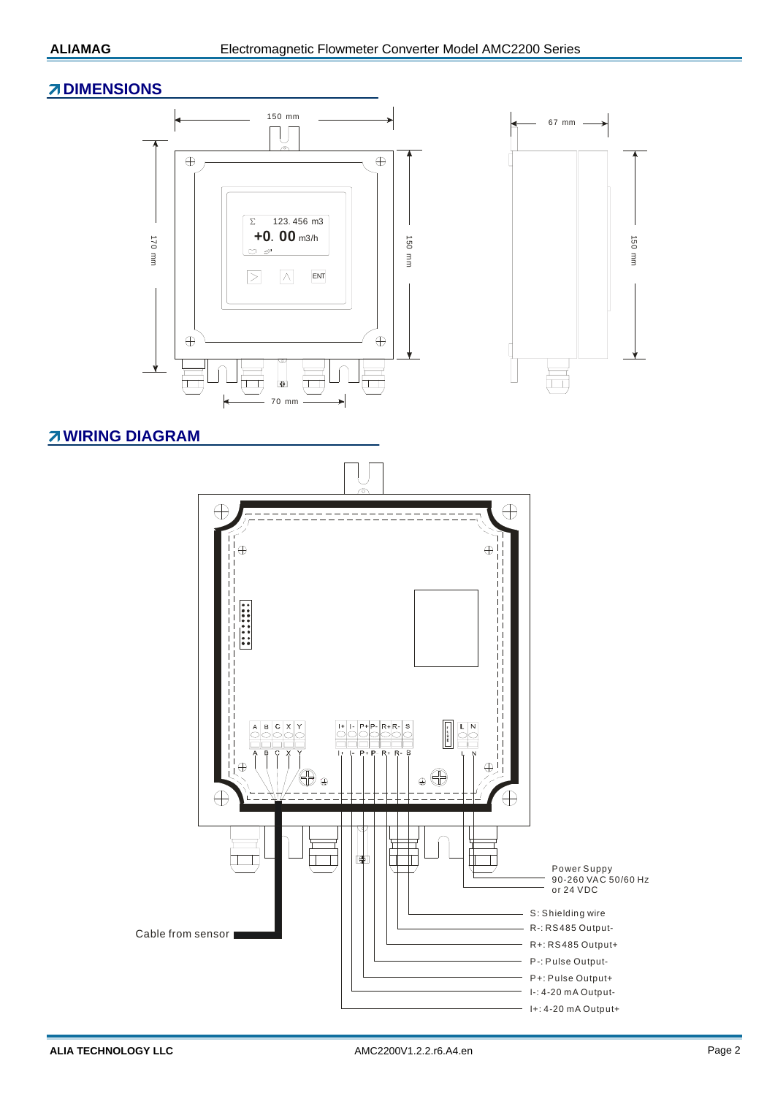#### **ZDIMENSIONS**



### **WIRING DIAGRAM**

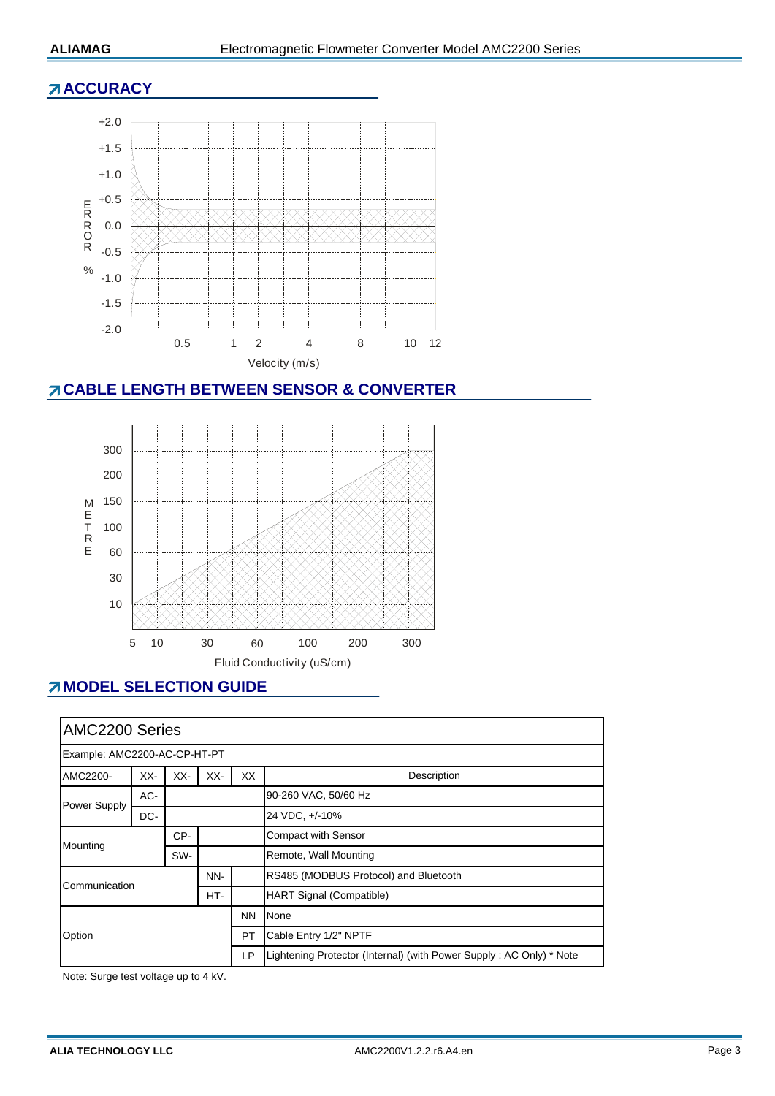### **ACCURACY**



# **CABLE LENGTH BETWEEN SENSOR & CONVERTER**



# *MODEL SELECTION GUIDE*

| AMC2200 Series               |     |     |                                       |                                 |                                                                     |  |  |
|------------------------------|-----|-----|---------------------------------------|---------------------------------|---------------------------------------------------------------------|--|--|
| Example: AMC2200-AC-CP-HT-PT |     |     |                                       |                                 |                                                                     |  |  |
| AMC2200-                     | XX- | XX- | XX-                                   | XX                              | Description                                                         |  |  |
| Power Supply                 | AC- |     |                                       |                                 | 90-260 VAC, 50/60 Hz                                                |  |  |
|                              | DC- |     |                                       |                                 | 24 VDC, +/-10%                                                      |  |  |
| Mounting                     |     | CP- |                                       |                                 | <b>Compact with Sensor</b>                                          |  |  |
|                              |     | SW- |                                       |                                 | Remote, Wall Mounting                                               |  |  |
| NN-<br>Communication<br>HT-  |     |     | RS485 (MODBUS Protocol) and Bluetooth |                                 |                                                                     |  |  |
|                              |     |     |                                       | <b>HART Signal (Compatible)</b> |                                                                     |  |  |
| Option                       |     |     |                                       | <b>NN</b>                       | None                                                                |  |  |
|                              |     |     |                                       | <b>PT</b>                       | Cable Entry 1/2" NPTF                                               |  |  |
|                              |     |     |                                       | LP                              | Lightening Protector (Internal) (with Power Supply: AC Only) * Note |  |  |

Note: Surge test voltage up to 4 kV.